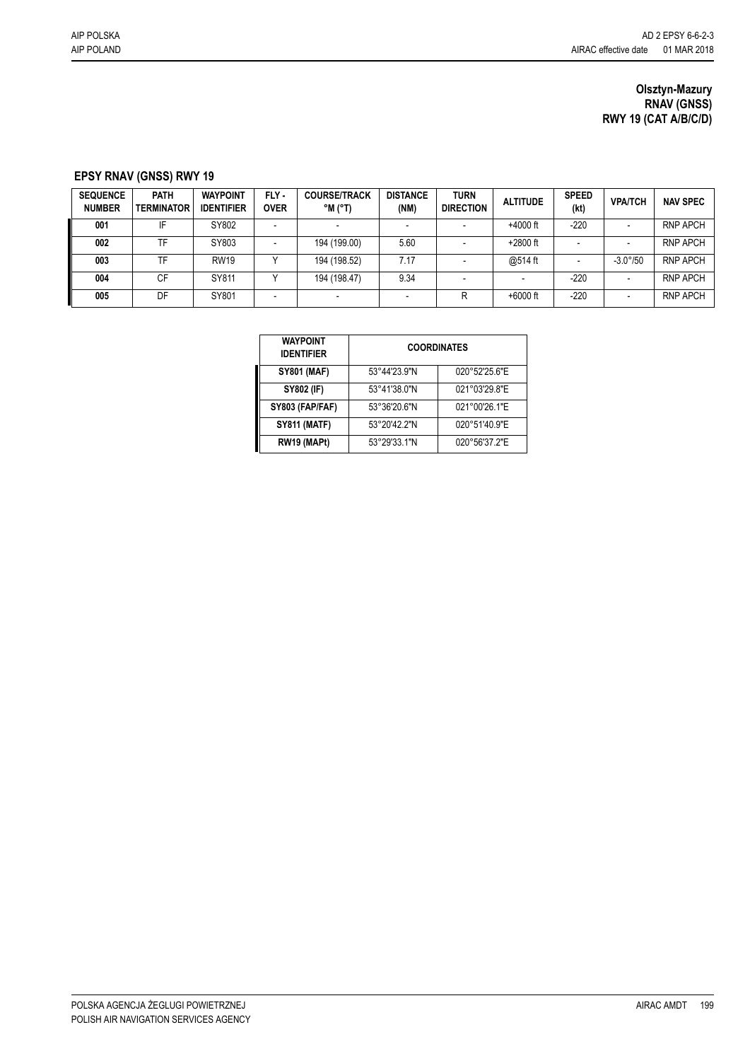## **Olsztyn-Mazury RNAV (GNSS) RWY 19 (CAT A/B/C/D)**

## **EPSY RNAV (GNSS) RWY 19**

| <b>SEQUENCE</b><br><b>NUMBER</b> | <b>PATH</b><br><b>TERMINATOR</b> | <b>WAYPOINT</b><br><b>IDENTIFIER</b> | FLY-<br><b>OVER</b> | <b>COURSE/TRACK</b><br>$^{\circ}$ M ( $^{\circ}$ T) | <b>DISTANCE</b><br>(NM) | <b>TURN</b><br><b>DIRECTION</b> | <b>ALTITUDE</b> | <b>SPEED</b><br>(kt) | <b>VPA/TCH</b>    | <b>NAV SPEC</b> |
|----------------------------------|----------------------------------|--------------------------------------|---------------------|-----------------------------------------------------|-------------------------|---------------------------------|-----------------|----------------------|-------------------|-----------------|
| 001                              | ΙF                               | SY802                                |                     |                                                     |                         |                                 | $+4000$ ft      | $-220$               |                   | <b>RNP APCH</b> |
| 002                              | TF                               | SY803                                |                     | 194 (199.00)                                        | 5.60                    |                                 | $+2800$ ft      |                      |                   | <b>RNP APCH</b> |
| 003                              | TF                               | <b>RW19</b>                          |                     | 194 (198.52)                                        | 7.17                    |                                 | @514 ft         |                      | $-3.0^{\circ}/50$ | <b>RNP APCH</b> |
| 004                              | СF                               | SY811                                |                     | 194 (198.47)                                        | 9.34                    |                                 |                 | $-220$               |                   | <b>RNP APCH</b> |
| 005                              | DF                               | SY801                                |                     |                                                     |                         | R                               | $+6000$ ft      | $-220$               |                   | <b>RNP APCH</b> |

| <b>WAYPOINT</b><br><b>IDENTIFIER</b> | <b>COORDINATES</b> |               |  |  |  |  |
|--------------------------------------|--------------------|---------------|--|--|--|--|
| <b>SY801 (MAF)</b>                   | 53°44'23.9"N       | 020°52'25.6"E |  |  |  |  |
| <b>SY802 (IF)</b>                    | 53°41'38.0"N       | 021°03'29.8"E |  |  |  |  |
| SY803 (FAP/FAF)                      | 53°36'20.6"N       | 021°00'26.1"E |  |  |  |  |
| <b>SY811 (MATF)</b>                  | 53°20'42.2"N       | 020°51'40.9"E |  |  |  |  |
| RW19 (MAPt)                          | 53°29'33.1"N       | 020°56'37.2"E |  |  |  |  |